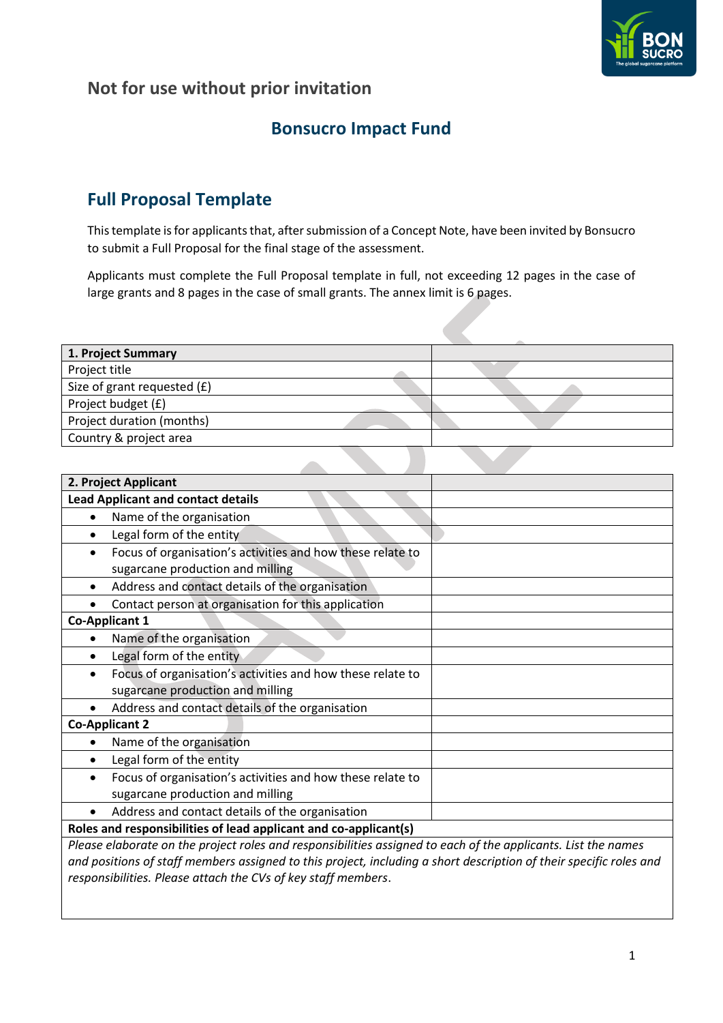

## **Bonsucro Impact Fund**

# **Full Proposal Template**

This template is for applicants that, after submission of a Concept Note, have been invited by Bonsucro to submit a Full Proposal for the final stage of the assessment.

Applicants must complete the Full Proposal template in full, not exceeding 12 pages in the case of large grants and 8 pages in the case of small grants. The annex limit is 6 pages.

| 1. Project Summary          |  |
|-----------------------------|--|
| Project title               |  |
| Size of grant requested (£) |  |
| Project budget (£)          |  |
| Project duration (months)   |  |
| Country & project area      |  |
|                             |  |

 $\mathcal{L}$ 

| 2. Project Applicant                                                                                          |  |  |  |  |
|---------------------------------------------------------------------------------------------------------------|--|--|--|--|
| <b>Lead Applicant and contact details</b>                                                                     |  |  |  |  |
| Name of the organisation                                                                                      |  |  |  |  |
| Legal form of the entity                                                                                      |  |  |  |  |
| Focus of organisation's activities and how these relate to                                                    |  |  |  |  |
| sugarcane production and milling                                                                              |  |  |  |  |
| Address and contact details of the organisation                                                               |  |  |  |  |
| Contact person at organisation for this application                                                           |  |  |  |  |
| <b>Co-Applicant 1</b>                                                                                         |  |  |  |  |
| Name of the organisation                                                                                      |  |  |  |  |
| Legal form of the entity                                                                                      |  |  |  |  |
| Focus of organisation's activities and how these relate to                                                    |  |  |  |  |
| sugarcane production and milling                                                                              |  |  |  |  |
| Address and contact details of the organisation                                                               |  |  |  |  |
| <b>Co-Applicant 2</b>                                                                                         |  |  |  |  |
| Name of the organisation                                                                                      |  |  |  |  |
| Legal form of the entity                                                                                      |  |  |  |  |
| Focus of organisation's activities and how these relate to                                                    |  |  |  |  |
| sugarcane production and milling                                                                              |  |  |  |  |
| Address and contact details of the organisation<br>$\bullet$                                                  |  |  |  |  |
| Roles and responsibilities of lead applicant and co-applicant(s)                                              |  |  |  |  |
| Please elaborate on the project roles and responsibilities assigned to each of the applicants. List the names |  |  |  |  |

*Please elaborate on the project roles and responsibilities assigned to each of the applicants. List the names and positions of staff members assigned to this project, including a short description of their specific roles and responsibilities. Please attach the CVs of key staff members*.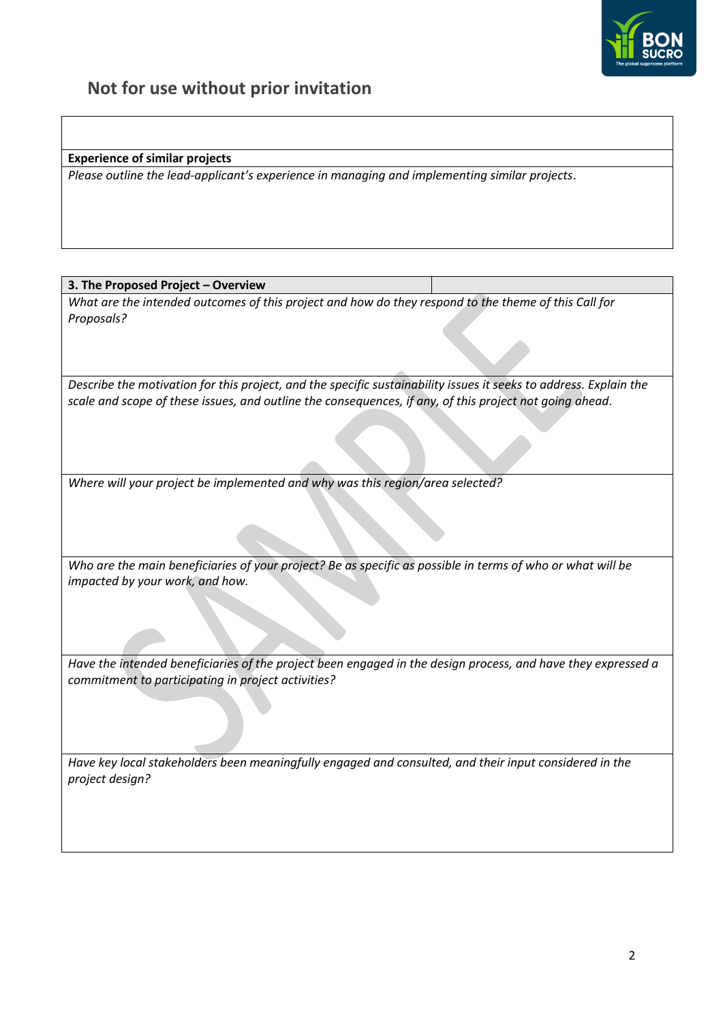

**Experience of similar projects**

*Please outline the lead-applicant's experience in managing and implementing similar projects*.

#### **3. The Proposed Project – Overview**

*What are the intended outcomes of this project and how do they respond to the theme of this Call for Proposals?*

*Describe the motivation for this project, and the specific sustainability issues it seeks to address. Explain the scale and scope of these issues, and outline the consequences, if any, of this project not going ahead*.

*Where will your project be implemented and why was this region/area selected?* 

*Who are the main beneficiaries of your project? Be as specific as possible in terms of who or what will be impacted by your work, and how.*

*Have the intended beneficiaries of the project been engaged in the design process, and have they expressed a commitment to participating in project activities?* 

*Have key local stakeholders been meaningfully engaged and consulted, and their input considered in the project design?*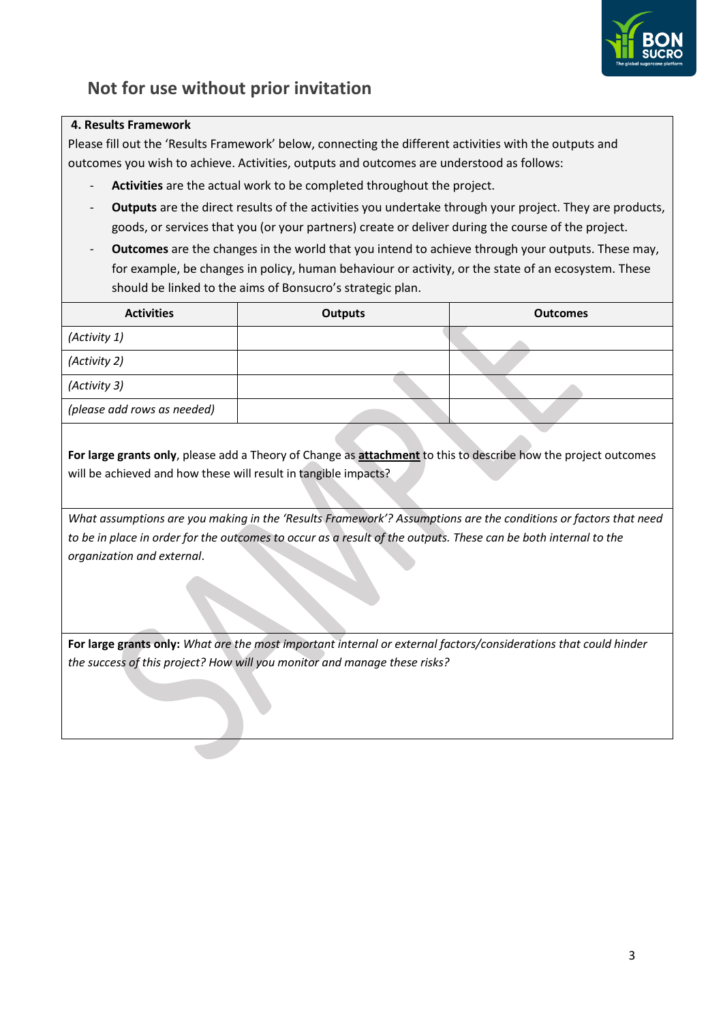

### **4. Results Framework**

Please fill out the 'Results Framework' below, connecting the different activities with the outputs and outcomes you wish to achieve. Activities, outputs and outcomes are understood as follows:

- **Activities** are the actual work to be completed throughout the project.
- **Outputs** are the direct results of the activities you undertake through your project. They are products, goods, or services that you (or your partners) create or deliver during the course of the project.
- **Outcomes** are the changes in the world that you intend to achieve through your outputs. These may, for example, be changes in policy, human behaviour or activity, or the state of an ecosystem. These should be linked to the aims of Bonsucro's strategic plan.

| <b>Activities</b>           | <b>Outputs</b> | <b>Outcomes</b> |  |  |
|-----------------------------|----------------|-----------------|--|--|
| (Activity 1)                |                |                 |  |  |
| (Activity 2)                |                |                 |  |  |
| (Activity 3)                |                |                 |  |  |
| (please add rows as needed) |                |                 |  |  |

**For large grants only**, please add a Theory of Change as **attachment** to this to describe how the project outcomes will be achieved and how these will result in tangible impacts?

*What assumptions are you making in the 'Results Framework'? Assumptions are the conditions or factors that need*  to be in place in order for the outcomes to occur as a result of the outputs. These can be both internal to the *organization and external*.

**For large grants only:** *What are the most important internal or external factors/considerations that could hinder the success of this project? How will you monitor and manage these risks?*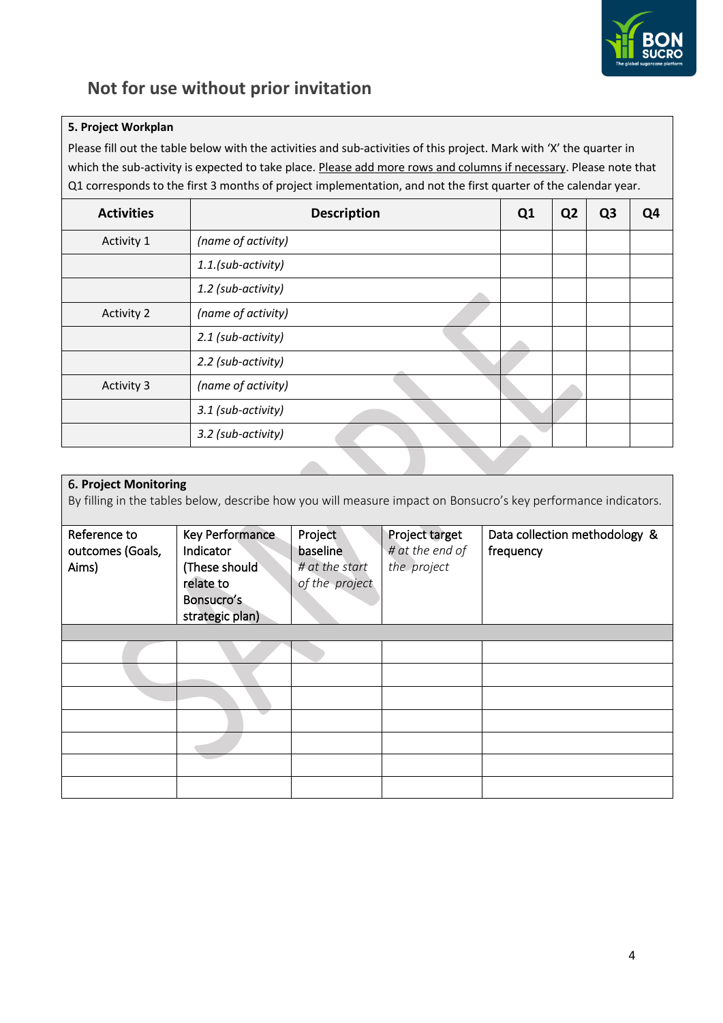

### **5. Project Workplan**

Please fill out the table below with the activities and sub-activities of this project. Mark with 'X' the quarter in which the sub-activity is expected to take place. Please add more rows and columns if necessary. Please note that Q1 corresponds to the first 3 months of project implementation, and not the first quarter of the calendar year.

| <b>Activities</b> | <b>Description</b> |  | Q <sub>2</sub> | Q <sub>3</sub> | Q4 |
|-------------------|--------------------|--|----------------|----------------|----|
| Activity 1        | (name of activity) |  |                |                |    |
|                   | 1.1.(sub-activity) |  |                |                |    |
|                   | 1.2 (sub-activity) |  |                |                |    |
| <b>Activity 2</b> | (name of activity) |  |                |                |    |
|                   | 2.1 (sub-activity) |  |                |                |    |
|                   | 2.2 (sub-activity) |  |                |                |    |
| <b>Activity 3</b> | (name of activity) |  |                |                |    |
|                   | 3.1 (sub-activity) |  |                |                |    |
|                   | 3.2 (sub-activity) |  |                |                |    |

### 6**. Project Monitoring** By filling in the tables below, describe how you will measure impact on Bonsucro's key performance indicators. Reference to outcomes (Goals, Aims) Key Performance Indicator (These should relate to Bonsucro's strategic plan) Project baseline *# at the start of the project* Project target *# at the end of the project* Data collection methodology & frequency